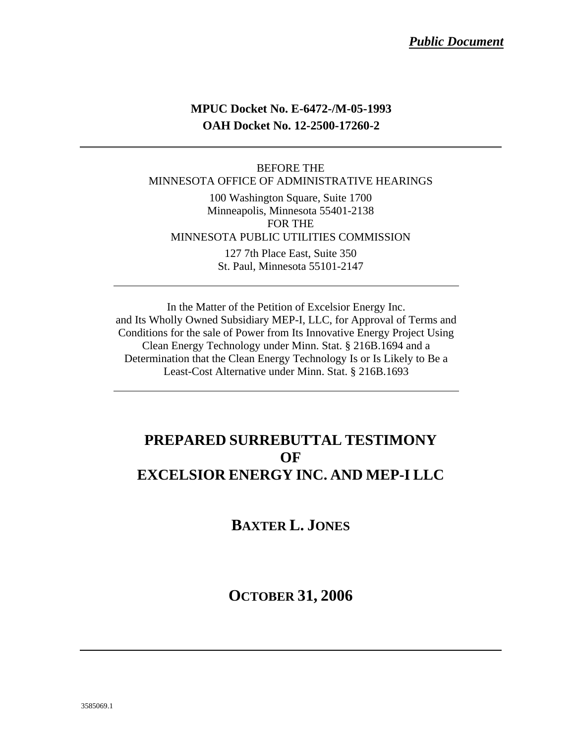### **MPUC Docket No. E-6472-/M-05-1993 OAH Docket No. 12-2500-17260-2**

### BEFORE THE MINNESOTA OFFICE OF ADMINISTRATIVE HEARINGS

100 Washington Square, Suite 1700 Minneapolis, Minnesota 55401-2138 FOR THE MINNESOTA PUBLIC UTILITIES COMMISSION 127 7th Place East, Suite 350

St. Paul, Minnesota 55101-2147

In the Matter of the Petition of Excelsior Energy Inc. and Its Wholly Owned Subsidiary MEP-I, LLC, for Approval of Terms and Conditions for the sale of Power from Its Innovative Energy Project Using Clean Energy Technology under Minn. Stat. § 216B.1694 and a Determination that the Clean Energy Technology Is or Is Likely to Be a Least-Cost Alternative under Minn. Stat. § 216B.1693

### **PREPARED SURREBUTTAL TESTIMONY OF EXCELSIOR ENERGY INC. AND MEP-I LLC**

**BAXTER L. JONES**

**OCTOBER 31, 2006**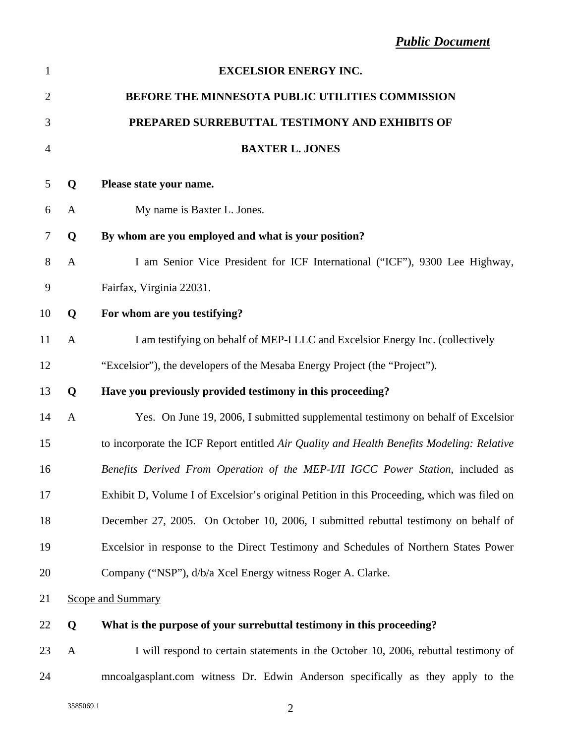| $\mathbf{1}$   |              | <b>EXCELSIOR ENERGY INC.</b>                                                                |
|----------------|--------------|---------------------------------------------------------------------------------------------|
| $\overline{2}$ |              | BEFORE THE MINNESOTA PUBLIC UTILITIES COMMISSION                                            |
| 3              |              | PREPARED SURREBUTTAL TESTIMONY AND EXHIBITS OF                                              |
| $\overline{4}$ |              | <b>BAXTER L. JONES</b>                                                                      |
| 5              | Q            | Please state your name.                                                                     |
| 6              | A            | My name is Baxter L. Jones.                                                                 |
| 7              | Q            | By whom are you employed and what is your position?                                         |
| 8              | $\mathbf{A}$ | I am Senior Vice President for ICF International ("ICF"), 9300 Lee Highway,                 |
| 9              |              | Fairfax, Virginia 22031.                                                                    |
| 10             | Q            | For whom are you testifying?                                                                |
| 11             | A            | I am testifying on behalf of MEP-I LLC and Excelsior Energy Inc. (collectively              |
| 12             |              | "Excelsior"), the developers of the Mesaba Energy Project (the "Project").                  |
| 13             | Q            | Have you previously provided testimony in this proceeding?                                  |
| 14             | $\mathbf{A}$ | Yes. On June 19, 2006, I submitted supplemental testimony on behalf of Excelsior            |
| 15             |              | to incorporate the ICF Report entitled Air Quality and Health Benefits Modeling: Relative   |
| 16             |              | Benefits Derived From Operation of the MEP-I/II IGCC Power Station, included as             |
| 17             |              | Exhibit D, Volume I of Excelsior's original Petition in this Proceeding, which was filed on |
| 18             |              | December 27, 2005. On October 10, 2006, I submitted rebuttal testimony on behalf of         |
| 19             |              | Excelsior in response to the Direct Testimony and Schedules of Northern States Power        |
| 20             |              | Company ("NSP"), d/b/a Xcel Energy witness Roger A. Clarke.                                 |
| 21             |              | <b>Scope and Summary</b>                                                                    |
| 22             | Q            | What is the purpose of your surrebuttal testimony in this proceeding?                       |
| 23             | A            | I will respond to certain statements in the October 10, 2006, rebuttal testimony of         |

24 mncoalgasplant.com witness Dr. Edwin Anderson specifically as they apply to the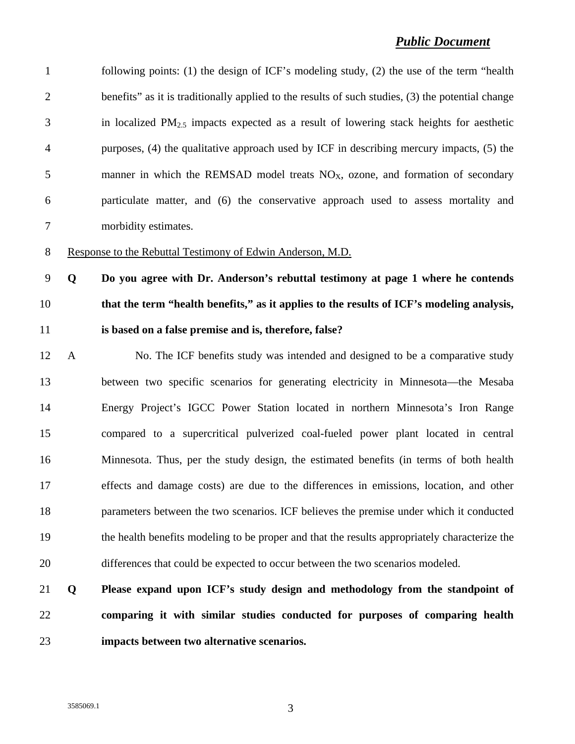| $\mathbf{1}$   |              | following points: (1) the design of ICF's modeling study, (2) the use of the term "health         |
|----------------|--------------|---------------------------------------------------------------------------------------------------|
| $\overline{2}$ |              | benefits" as it is traditionally applied to the results of such studies, (3) the potential change |
| 3              |              | in localized $PM_{2.5}$ impacts expected as a result of lowering stack heights for aesthetic      |
| $\overline{4}$ |              | purposes, (4) the qualitative approach used by ICF in describing mercury impacts, (5) the         |
| 5              |              | manner in which the REMSAD model treats $NOX$ , ozone, and formation of secondary                 |
| 6              |              | particulate matter, and (6) the conservative approach used to assess mortality and                |
| 7              |              | morbidity estimates.                                                                              |
| $8\,$          |              | Response to the Rebuttal Testimony of Edwin Anderson, M.D.                                        |
| 9              | Q            | Do you agree with Dr. Anderson's rebuttal testimony at page 1 where he contends                   |
| 10             |              | that the term "health benefits," as it applies to the results of ICF's modeling analysis,         |
| 11             |              | is based on a false premise and is, therefore, false?                                             |
| 12             | $\mathbf{A}$ | No. The ICF benefits study was intended and designed to be a comparative study                    |
| 13             |              | between two specific scenarios for generating electricity in Minnesota—the Mesaba                 |
| 14             |              | Energy Project's IGCC Power Station located in northern Minnesota's Iron Range                    |
| 15             |              | compared to a supercritical pulverized coal-fueled power plant located in central                 |
| 16             |              | Minnesota. Thus, per the study design, the estimated benefits (in terms of both health            |
| 17             |              | effects and damage costs) are due to the differences in emissions, location, and other            |
| 18             |              | parameters between the two scenarios. ICF believes the premise under which it conducted           |
| 19             |              | the health benefits modeling to be proper and that the results appropriately characterize the     |
| 20             |              | differences that could be expected to occur between the two scenarios modeled.                    |
| 21             | Q            | Please expand upon ICF's study design and methodology from the standpoint of                      |
| 22             |              | comparing it with similar studies conducted for purposes of comparing health                      |
| 23             |              | impacts between two alternative scenarios.                                                        |
|                |              |                                                                                                   |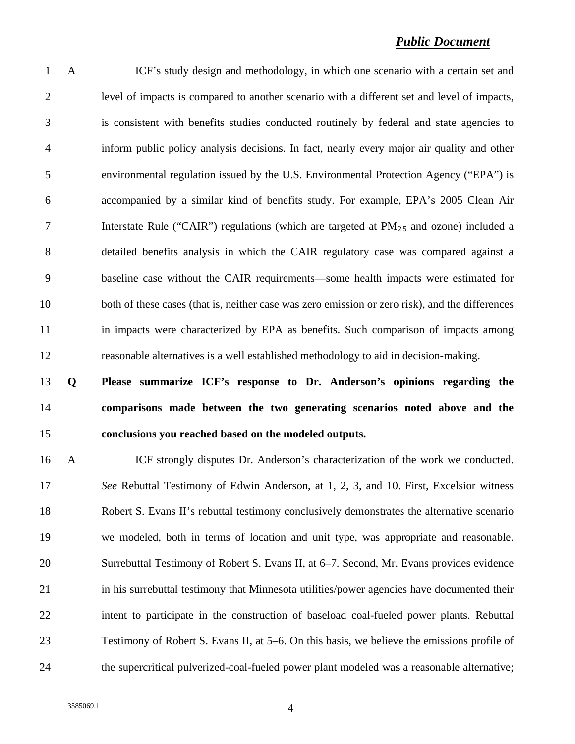1 A ICF's study design and methodology, in which one scenario with a certain set and 2 level of impacts is compared to another scenario with a different set and level of impacts, 3 is consistent with benefits studies conducted routinely by federal and state agencies to 4 inform public policy analysis decisions. In fact, nearly every major air quality and other 5 environmental regulation issued by the U.S. Environmental Protection Agency ("EPA") is 6 accompanied by a similar kind of benefits study. For example, EPA's 2005 Clean Air 7 Interstate Rule ("CAIR") regulations (which are targeted at  $PM_{2.5}$  and ozone) included a 8 detailed benefits analysis in which the CAIR regulatory case was compared against a 9 baseline case without the CAIR requirements—some health impacts were estimated for 10 both of these cases (that is, neither case was zero emission or zero risk), and the differences 11 in impacts were characterized by EPA as benefits. Such comparison of impacts among 12 reasonable alternatives is a well established methodology to aid in decision-making.

# 13 **Q Please summarize ICF's response to Dr. Anderson's opinions regarding the**  14 **comparisons made between the two generating scenarios noted above and the**  15 **conclusions you reached based on the modeled outputs.**

16 A ICF strongly disputes Dr. Anderson's characterization of the work we conducted. 17 *See* Rebuttal Testimony of Edwin Anderson, at 1, 2, 3, and 10. First, Excelsior witness 18 Robert S. Evans II's rebuttal testimony conclusively demonstrates the alternative scenario 19 we modeled, both in terms of location and unit type, was appropriate and reasonable. 20 Surrebuttal Testimony of Robert S. Evans II, at 6–7. Second, Mr. Evans provides evidence 21 in his surrebuttal testimony that Minnesota utilities/power agencies have documented their 22 intent to participate in the construction of baseload coal-fueled power plants. Rebuttal 23 Testimony of Robert S. Evans II, at 5–6. On this basis, we believe the emissions profile of 24 the supercritical pulverized-coal-fueled power plant modeled was a reasonable alternative;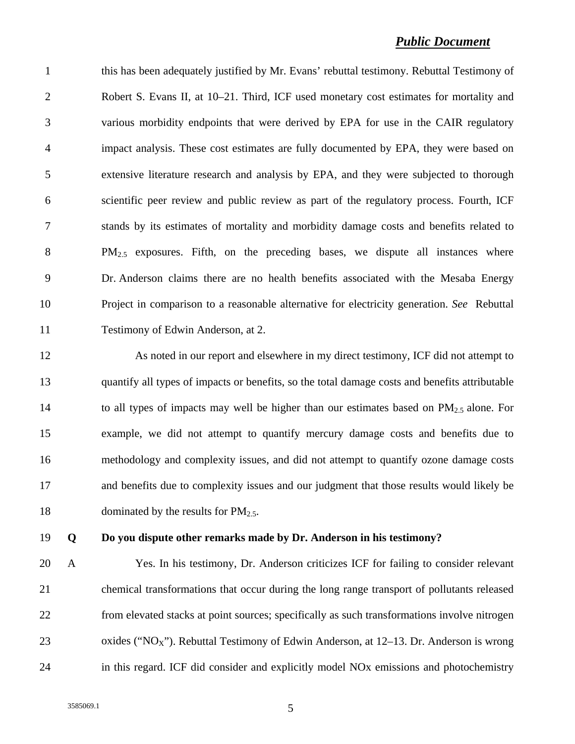1 this has been adequately justified by Mr. Evans' rebuttal testimony. Rebuttal Testimony of 2 Robert S. Evans II, at 10–21. Third, ICF used monetary cost estimates for mortality and 3 various morbidity endpoints that were derived by EPA for use in the CAIR regulatory 4 impact analysis. These cost estimates are fully documented by EPA, they were based on 5 extensive literature research and analysis by EPA, and they were subjected to thorough 6 scientific peer review and public review as part of the regulatory process. Fourth, ICF 7 stands by its estimates of mortality and morbidity damage costs and benefits related to 8 PM<sub>2.5</sub> exposures. Fifth, on the preceding bases, we dispute all instances where 9 Dr. Anderson claims there are no health benefits associated with the Mesaba Energy 10 Project in comparison to a reasonable alternative for electricity generation. *See* Rebuttal 11 Testimony of Edwin Anderson, at 2.

12 As noted in our report and elsewhere in my direct testimony, ICF did not attempt to 13 quantify all types of impacts or benefits, so the total damage costs and benefits attributable 14 to all types of impacts may well be higher than our estimates based on  $PM_{2.5}$  alone. For 15 example, we did not attempt to quantify mercury damage costs and benefits due to 16 methodology and complexity issues, and did not attempt to quantify ozone damage costs 17 and benefits due to complexity issues and our judgment that those results would likely be 18 dominated by the results for  $PM_{2.5}$ .

### 19 **Q Do you dispute other remarks made by Dr. Anderson in his testimony?**

20 A Yes. In his testimony, Dr. Anderson criticizes ICF for failing to consider relevant 21 chemical transformations that occur during the long range transport of pollutants released 22 from elevated stacks at point sources; specifically as such transformations involve nitrogen 23 oxides (" $NO<sub>X</sub>$ "). Rebuttal Testimony of Edwin Anderson, at 12–13. Dr. Anderson is wrong 24 in this regard. ICF did consider and explicitly model NOx emissions and photochemistry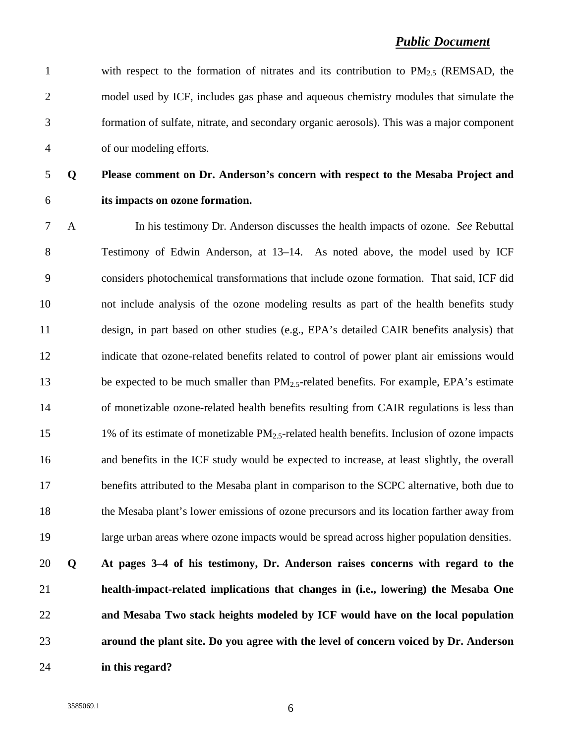1 with respect to the formation of nitrates and its contribution to  $PM_{2.5}$  (REMSAD, the 2 model used by ICF, includes gas phase and aqueous chemistry modules that simulate the 3 formation of sulfate, nitrate, and secondary organic aerosols). This was a major component 4 of our modeling efforts.

## 5 **Q Please comment on Dr. Anderson's concern with respect to the Mesaba Project and**  6 **its impacts on ozone formation.**

7 A In his testimony Dr. Anderson discusses the health impacts of ozone. *See* Rebuttal 8 Testimony of Edwin Anderson, at 13–14. As noted above, the model used by ICF 9 considers photochemical transformations that include ozone formation. That said, ICF did 10 not include analysis of the ozone modeling results as part of the health benefits study 11 design, in part based on other studies (e.g., EPA's detailed CAIR benefits analysis) that 12 indicate that ozone-related benefits related to control of power plant air emissions would 13 be expected to be much smaller than PM<sub>2.5</sub>-related benefits. For example, EPA's estimate 14 of monetizable ozone-related health benefits resulting from CAIR regulations is less than 15 1% of its estimate of monetizable  $PM_{2.5}$ -related health benefits. Inclusion of ozone impacts 16 and benefits in the ICF study would be expected to increase, at least slightly, the overall 17 benefits attributed to the Mesaba plant in comparison to the SCPC alternative, both due to 18 the Mesaba plant's lower emissions of ozone precursors and its location farther away from 19 large urban areas where ozone impacts would be spread across higher population densities. 20 **Q At pages 3–4 of his testimony, Dr. Anderson raises concerns with regard to the** 

**health-impact-related implications that changes in (i.e., lowering) the Mesaba One and Mesaba Two stack heights modeled by ICF would have on the local population around the plant site. Do you agree with the level of concern voiced by Dr. Anderson in this regard?**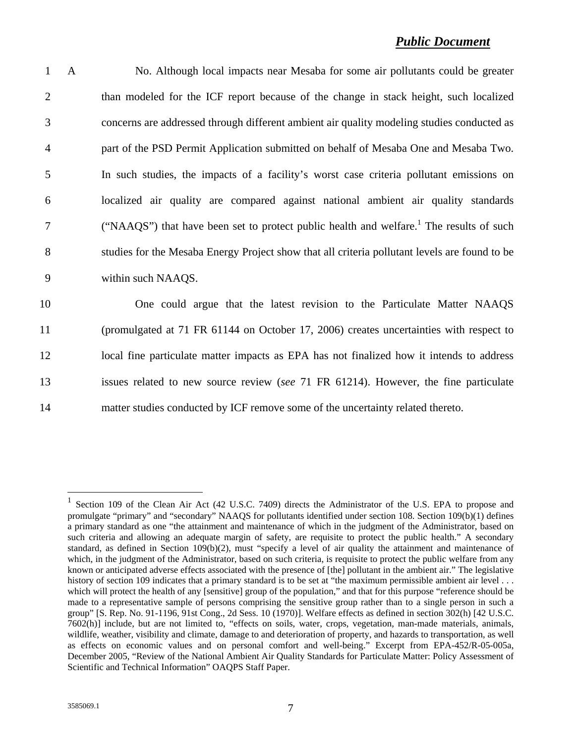| $\mathbf{1}$   | $\mathbf{A}$ | No. Although local impacts near Mesaba for some air pollutants could be greater                     |
|----------------|--------------|-----------------------------------------------------------------------------------------------------|
| 2              |              | than modeled for the ICF report because of the change in stack height, such localized               |
| 3              |              | concerns are addressed through different ambient air quality modeling studies conducted as          |
| $\overline{4}$ |              | part of the PSD Permit Application submitted on behalf of Mesaba One and Mesaba Two.                |
| 5              |              | In such studies, the impacts of a facility's worst case criteria pollutant emissions on             |
| 6              |              | localized air quality are compared against national ambient air quality standards                   |
| $\tau$         |              | ("NAAQS") that have been set to protect public health and welfare. <sup>1</sup> The results of such |
| 8              |              | studies for the Mesaba Energy Project show that all criteria pollutant levels are found to be       |
| 9              |              | within such NAAQS.                                                                                  |
| 10             |              | One could argue that the latest revision to the Particulate Matter NAAQS                            |
| 11             |              | (promulgated at 71 FR 61144 on October 17, 2006) creates uncertainties with respect to              |
| 12             |              | local fine particulate matter impacts as EPA has not finalized how it intends to address            |
| 13             |              | issues related to new source review (see 71 FR 61214). However, the fine particulate                |

14 matter studies conducted by ICF remove some of the uncertainty related thereto.

1

<sup>&</sup>lt;sup>1</sup> Section 109 of the Clean Air Act (42 U.S.C. 7409) directs the Administrator of the U.S. EPA to propose and promulgate "primary" and "secondary" NAAQS for pollutants identified under section 108. Section 109(b)(1) defines a primary standard as one "the attainment and maintenance of which in the judgment of the Administrator, based on such criteria and allowing an adequate margin of safety, are requisite to protect the public health." A secondary standard, as defined in Section 109(b)(2), must "specify a level of air quality the attainment and maintenance of which, in the judgment of the Administrator, based on such criteria, is requisite to protect the public welfare from any known or anticipated adverse effects associated with the presence of [the] pollutant in the ambient air." The legislative history of section 109 indicates that a primary standard is to be set at "the maximum permissible ambient air level . . . which will protect the health of any [sensitive] group of the population," and that for this purpose "reference should be made to a representative sample of persons comprising the sensitive group rather than to a single person in such a group" [S. Rep. No. 91-1196, 91st Cong., 2d Sess. 10 (1970)]. Welfare effects as defined in section 302(h) [42 U.S.C. 7602(h)] include, but are not limited to, "effects on soils, water, crops, vegetation, man-made materials, animals, wildlife, weather, visibility and climate, damage to and deterioration of property, and hazards to transportation, as well as effects on economic values and on personal comfort and well-being." Excerpt from EPA-452/R-05-005a, December 2005, "Review of the National Ambient Air Quality Standards for Particulate Matter: Policy Assessment of Scientific and Technical Information" OAQPS Staff Paper.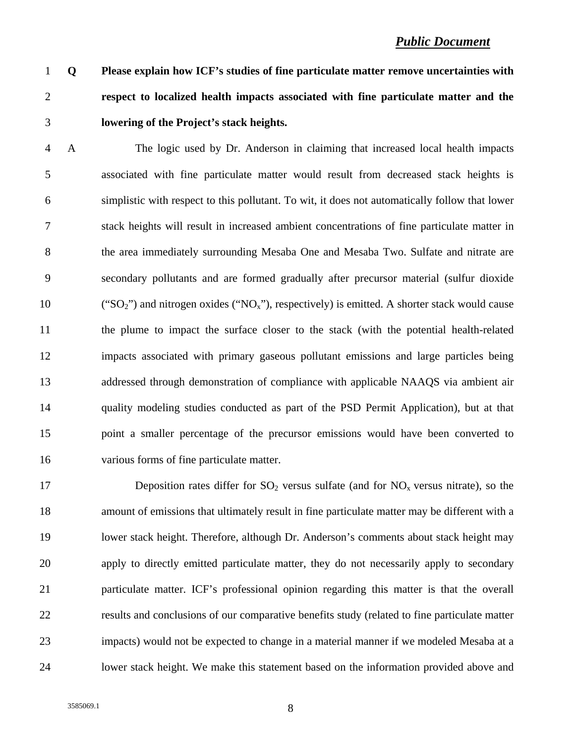# 1 **Q Please explain how ICF's studies of fine particulate matter remove uncertainties with**  2 **respect to localized health impacts associated with fine particulate matter and the**  3 **lowering of the Project's stack heights.**

4 A The logic used by Dr. Anderson in claiming that increased local health impacts 5 associated with fine particulate matter would result from decreased stack heights is 6 simplistic with respect to this pollutant. To wit, it does not automatically follow that lower 7 stack heights will result in increased ambient concentrations of fine particulate matter in 8 the area immediately surrounding Mesaba One and Mesaba Two. Sulfate and nitrate are 9 secondary pollutants and are formed gradually after precursor material (sulfur dioxide 10 ("SO<sub>2</sub>") and nitrogen oxides ("NO<sub>x</sub>"), respectively) is emitted. A shorter stack would cause 11 the plume to impact the surface closer to the stack (with the potential health-related 12 impacts associated with primary gaseous pollutant emissions and large particles being 13 addressed through demonstration of compliance with applicable NAAQS via ambient air 14 quality modeling studies conducted as part of the PSD Permit Application), but at that 15 point a smaller percentage of the precursor emissions would have been converted to 16 various forms of fine particulate matter.

17 Deposition rates differ for  $SO_2$  versus sulfate (and for  $NO_x$  versus nitrate), so the 18 amount of emissions that ultimately result in fine particulate matter may be different with a 19 lower stack height. Therefore, although Dr. Anderson's comments about stack height may 20 apply to directly emitted particulate matter, they do not necessarily apply to secondary 21 particulate matter. ICF's professional opinion regarding this matter is that the overall 22 results and conclusions of our comparative benefits study (related to fine particulate matter 23 impacts) would not be expected to change in a material manner if we modeled Mesaba at a 24 lower stack height. We make this statement based on the information provided above and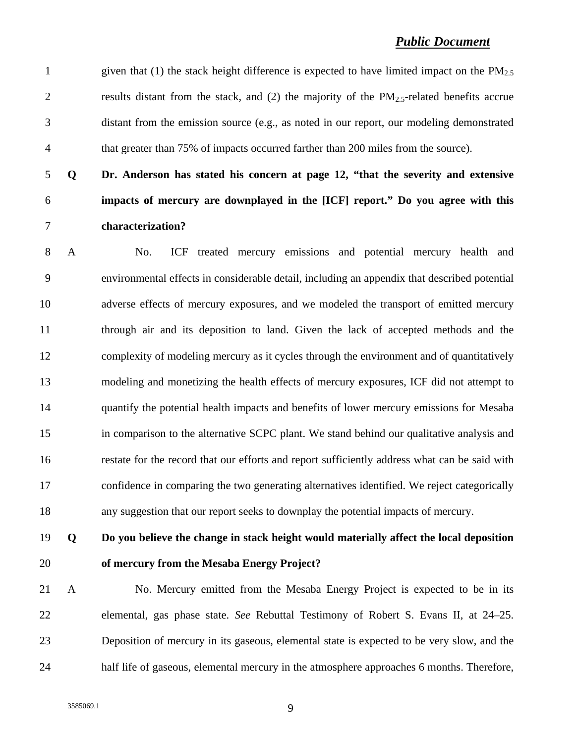1 given that (1) the stack height difference is expected to have limited impact on the  $PM_{2.5}$ 2 results distant from the stack, and (2) the majority of the  $PM_{2.5}$ -related benefits accrue 3 distant from the emission source (e.g., as noted in our report, our modeling demonstrated 4 that greater than 75% of impacts occurred farther than 200 miles from the source).

5 **Q Dr. Anderson has stated his concern at page 12, "that the severity and extensive**  6 **impacts of mercury are downplayed in the [ICF] report." Do you agree with this**  7 **characterization?** 

8 A No. ICF treated mercury emissions and potential mercury health and 9 environmental effects in considerable detail, including an appendix that described potential 10 adverse effects of mercury exposures, and we modeled the transport of emitted mercury 11 through air and its deposition to land. Given the lack of accepted methods and the 12 complexity of modeling mercury as it cycles through the environment and of quantitatively 13 modeling and monetizing the health effects of mercury exposures, ICF did not attempt to 14 quantify the potential health impacts and benefits of lower mercury emissions for Mesaba 15 in comparison to the alternative SCPC plant. We stand behind our qualitative analysis and 16 restate for the record that our efforts and report sufficiently address what can be said with 17 confidence in comparing the two generating alternatives identified. We reject categorically 18 any suggestion that our report seeks to downplay the potential impacts of mercury.

# 19 **Q Do you believe the change in stack height would materially affect the local deposition**  20 **of mercury from the Mesaba Energy Project?**

21 A No. Mercury emitted from the Mesaba Energy Project is expected to be in its 22 elemental, gas phase state. *See* Rebuttal Testimony of Robert S. Evans II, at 24–25. 23 Deposition of mercury in its gaseous, elemental state is expected to be very slow, and the 24 half life of gaseous, elemental mercury in the atmosphere approaches 6 months. Therefore,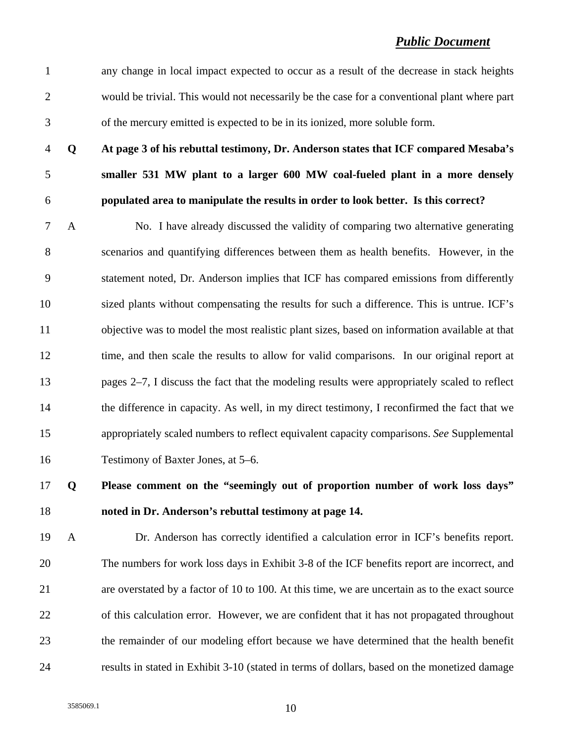1 any change in local impact expected to occur as a result of the decrease in stack heights 2 would be trivial. This would not necessarily be the case for a conventional plant where part 3 of the mercury emitted is expected to be in its ionized, more soluble form.

4 **Q At page 3 of his rebuttal testimony, Dr. Anderson states that ICF compared Mesaba's**  5 **smaller 531 MW plant to a larger 600 MW coal-fueled plant in a more densely**  6 **populated area to manipulate the results in order to look better. Is this correct?** 

7 A No. I have already discussed the validity of comparing two alternative generating 8 scenarios and quantifying differences between them as health benefits. However, in the 9 statement noted, Dr. Anderson implies that ICF has compared emissions from differently 10 sized plants without compensating the results for such a difference. This is untrue. ICF's 11 objective was to model the most realistic plant sizes, based on information available at that 12 time, and then scale the results to allow for valid comparisons. In our original report at 13 pages 2–7, I discuss the fact that the modeling results were appropriately scaled to reflect 14 the difference in capacity. As well, in my direct testimony, I reconfirmed the fact that we 15 appropriately scaled numbers to reflect equivalent capacity comparisons. *See* Supplemental 16 Testimony of Baxter Jones, at 5–6.

## 17 **Q Please comment on the "seemingly out of proportion number of work loss days"**  18 **noted in Dr. Anderson's rebuttal testimony at page 14.**

19 A Dr. Anderson has correctly identified a calculation error in ICF's benefits report. 20 The numbers for work loss days in Exhibit 3-8 of the ICF benefits report are incorrect, and 21 are overstated by a factor of 10 to 100. At this time, we are uncertain as to the exact source 22 of this calculation error. However, we are confident that it has not propagated throughout 23 the remainder of our modeling effort because we have determined that the health benefit 24 results in stated in Exhibit 3-10 (stated in terms of dollars, based on the monetized damage